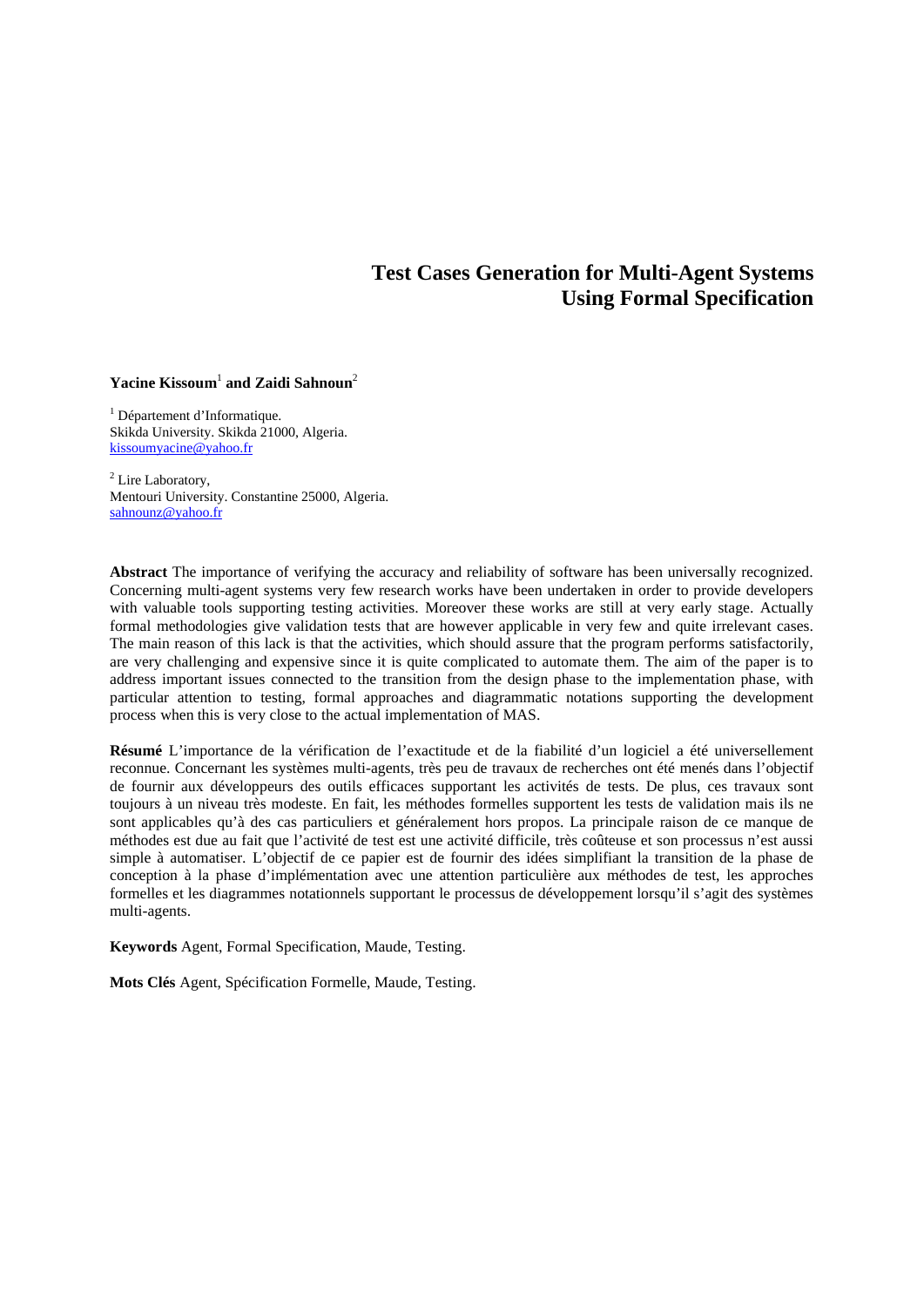# **Test Cases Generation for Multi-Agent Systems Using Formal Specification**

### $\bf{Y}$ acine Kissoum<sup>1</sup> and Zaidi Sahnoun<sup>2</sup>

<sup>1</sup> Département d'Informatique. Skikda University. Skikda 21000, Algeria. kissoumyacine@yahoo.fr

<sup>2</sup> Lire Laboratory, Mentouri University. Constantine 25000, Algeria. sahnounz@yahoo.fr

**Abstract** The importance of verifying the accuracy and reliability of software has been universally recognized. Concerning multi-agent systems very few research works have been undertaken in order to provide developers with valuable tools supporting testing activities. Moreover these works are still at very early stage. Actually formal methodologies give validation tests that are however applicable in very few and quite irrelevant cases. The main reason of this lack is that the activities, which should assure that the program performs satisfactorily, are very challenging and expensive since it is quite complicated to automate them. The aim of the paper is to address important issues connected to the transition from the design phase to the implementation phase, with particular attention to testing, formal approaches and diagrammatic notations supporting the development process when this is very close to the actual implementation of MAS.

**Résumé** L'importance de la vérification de l'exactitude et de la fiabilité d'un logiciel a été universellement reconnue. Concernant les systèmes multi-agents, très peu de travaux de recherches ont été menés dans l'objectif de fournir aux développeurs des outils efficaces supportant les activités de tests. De plus, ces travaux sont toujours à un niveau très modeste. En fait, les méthodes formelles supportent les tests de validation mais ils ne sont applicables qu'à des cas particuliers et généralement hors propos. La principale raison de ce manque de méthodes est due au fait que l'activité de test est une activité difficile, très coûteuse et son processus n'est aussi simple à automatiser. L'objectif de ce papier est de fournir des idées simplifiant la transition de la phase de conception à la phase d'implémentation avec une attention particulière aux méthodes de test, les approches formelles et les diagrammes notationnels supportant le processus de développement lorsqu'il s'agit des systèmes multi-agents.

**Keywords** Agent, Formal Specification, Maude, Testing.

**Mots Clés** Agent, Spécification Formelle, Maude, Testing.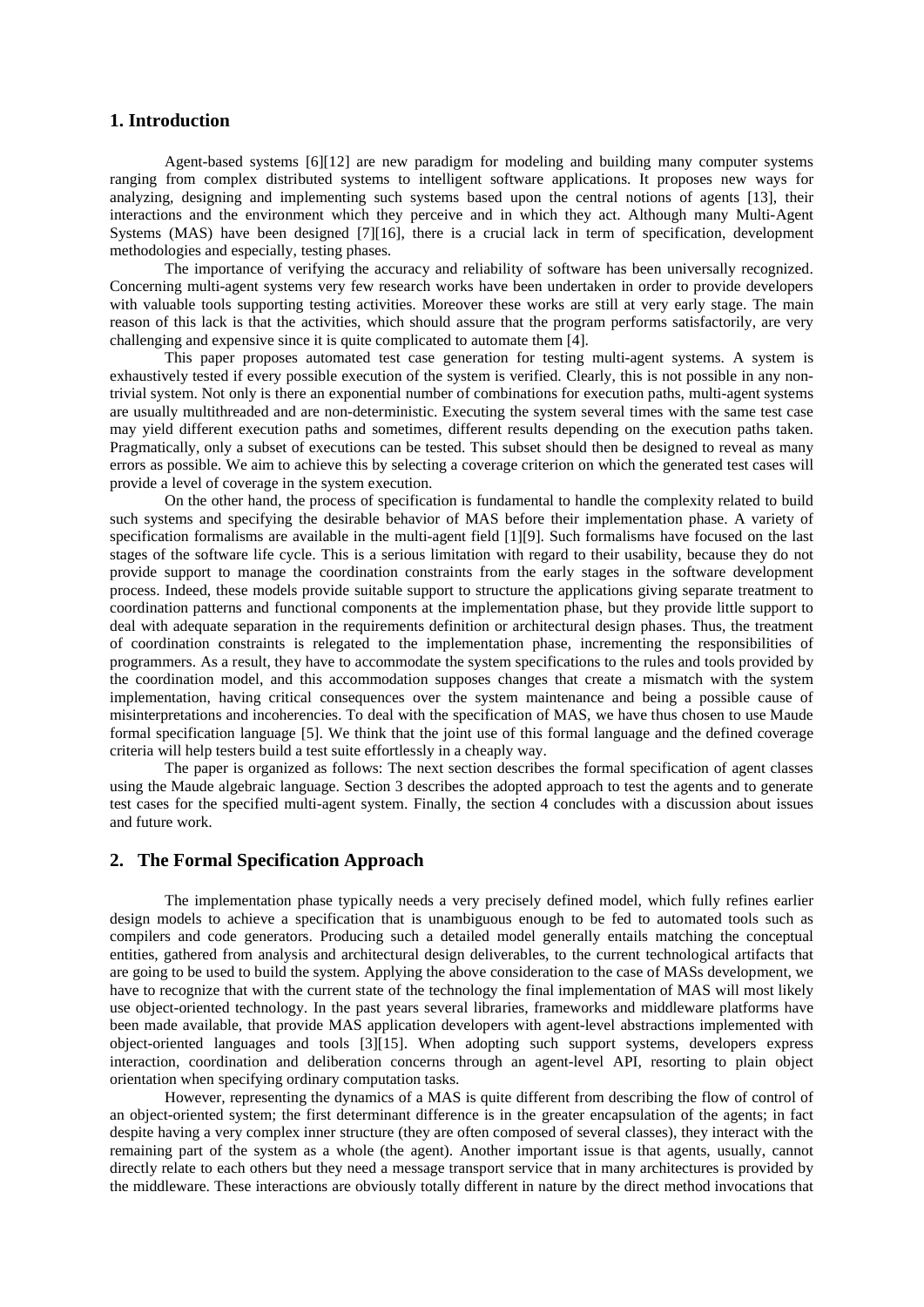### **1. Introduction**

Agent-based systems [6][12] are new paradigm for modeling and building many computer systems ranging from complex distributed systems to intelligent software applications. It proposes new ways for analyzing, designing and implementing such systems based upon the central notions of agents [13], their interactions and the environment which they perceive and in which they act. Although many Multi-Agent Systems (MAS) have been designed [7][16], there is a crucial lack in term of specification, development methodologies and especially, testing phases.

The importance of verifying the accuracy and reliability of software has been universally recognized. Concerning multi-agent systems very few research works have been undertaken in order to provide developers with valuable tools supporting testing activities. Moreover these works are still at very early stage. The main reason of this lack is that the activities, which should assure that the program performs satisfactorily, are very challenging and expensive since it is quite complicated to automate them [4].

This paper proposes automated test case generation for testing multi-agent systems. A system is exhaustively tested if every possible execution of the system is verified. Clearly, this is not possible in any nontrivial system. Not only is there an exponential number of combinations for execution paths, multi-agent systems are usually multithreaded and are non-deterministic. Executing the system several times with the same test case may yield different execution paths and sometimes, different results depending on the execution paths taken. Pragmatically, only a subset of executions can be tested. This subset should then be designed to reveal as many errors as possible. We aim to achieve this by selecting a coverage criterion on which the generated test cases will provide a level of coverage in the system execution.

On the other hand, the process of specification is fundamental to handle the complexity related to build such systems and specifying the desirable behavior of MAS before their implementation phase. A variety of specification formalisms are available in the multi-agent field [1][9]. Such formalisms have focused on the last stages of the software life cycle. This is a serious limitation with regard to their usability, because they do not provide support to manage the coordination constraints from the early stages in the software development process. Indeed, these models provide suitable support to structure the applications giving separate treatment to coordination patterns and functional components at the implementation phase, but they provide little support to deal with adequate separation in the requirements definition or architectural design phases. Thus, the treatment of coordination constraints is relegated to the implementation phase, incrementing the responsibilities of programmers. As a result, they have to accommodate the system specifications to the rules and tools provided by the coordination model, and this accommodation supposes changes that create a mismatch with the system implementation, having critical consequences over the system maintenance and being a possible cause of misinterpretations and incoherencies. To deal with the specification of MAS, we have thus chosen to use Maude formal specification language [5]. We think that the joint use of this formal language and the defined coverage criteria will help testers build a test suite effortlessly in a cheaply way.

The paper is organized as follows: The next section describes the formal specification of agent classes using the Maude algebraic language. Section 3 describes the adopted approach to test the agents and to generate test cases for the specified multi-agent system. Finally, the section 4 concludes with a discussion about issues and future work.

## **2. The Formal Specification Approach**

The implementation phase typically needs a very precisely defined model, which fully refines earlier design models to achieve a specification that is unambiguous enough to be fed to automated tools such as compilers and code generators. Producing such a detailed model generally entails matching the conceptual entities, gathered from analysis and architectural design deliverables, to the current technological artifacts that are going to be used to build the system. Applying the above consideration to the case of MASs development, we have to recognize that with the current state of the technology the final implementation of MAS will most likely use object-oriented technology. In the past years several libraries, frameworks and middleware platforms have been made available, that provide MAS application developers with agent-level abstractions implemented with object-oriented languages and tools [3][15]. When adopting such support systems, developers express interaction, coordination and deliberation concerns through an agent-level API, resorting to plain object orientation when specifying ordinary computation tasks.

However, representing the dynamics of a MAS is quite different from describing the flow of control of an object-oriented system; the first determinant difference is in the greater encapsulation of the agents; in fact despite having a very complex inner structure (they are often composed of several classes), they interact with the remaining part of the system as a whole (the agent). Another important issue is that agents, usually, cannot directly relate to each others but they need a message transport service that in many architectures is provided by the middleware. These interactions are obviously totally different in nature by the direct method invocations that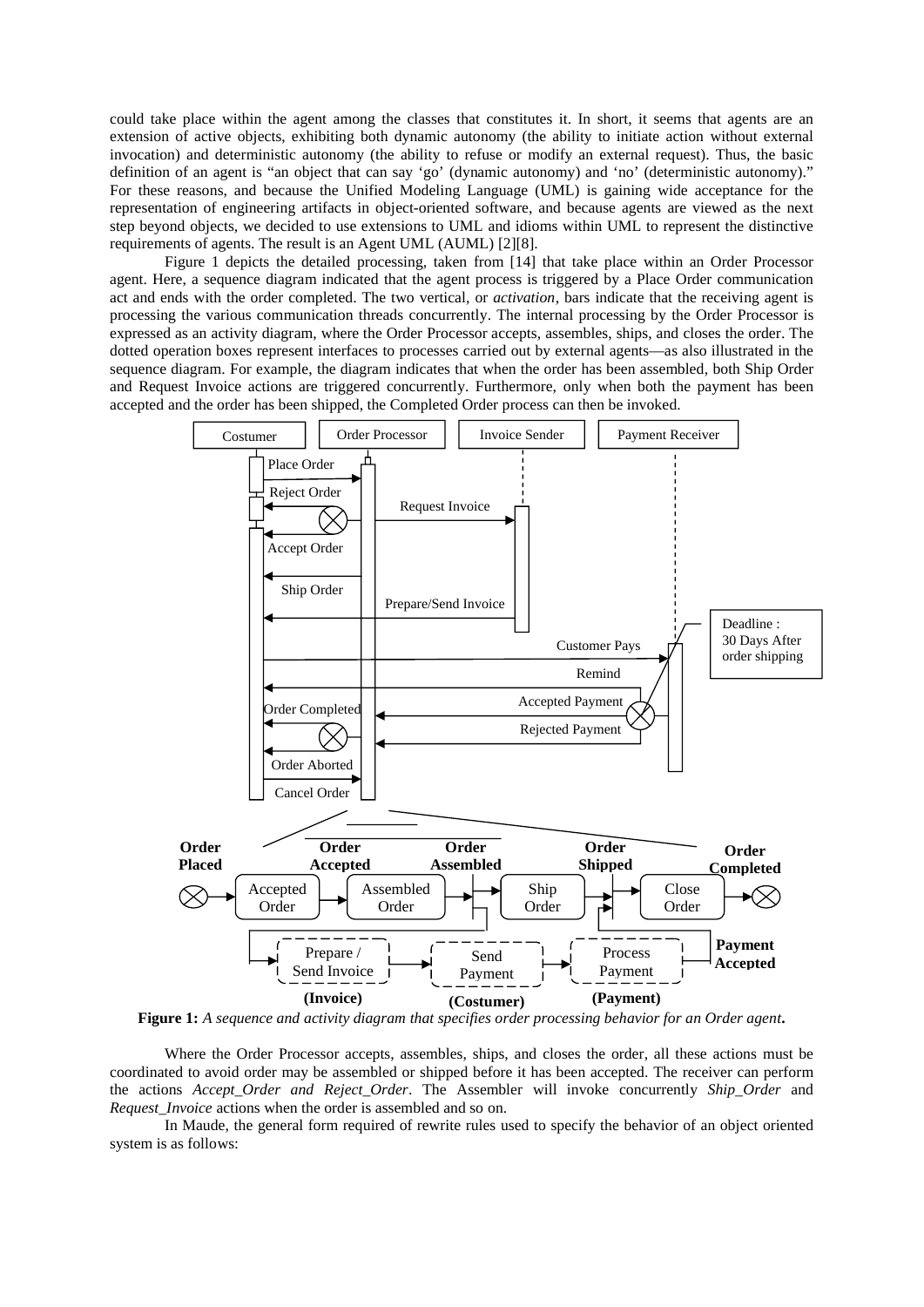could take place within the agent among the classes that constitutes it. In short, it seems that agents are an extension of active objects, exhibiting both dynamic autonomy (the ability to initiate action without external invocation) and deterministic autonomy (the ability to refuse or modify an external request). Thus, the basic definition of an agent is "an object that can say 'go' (dynamic autonomy) and 'no' (deterministic autonomy)." For these reasons, and because the Unified Modeling Language (UML) is gaining wide acceptance for the representation of engineering artifacts in object-oriented software, and because agents are viewed as the next step beyond objects, we decided to use extensions to UML and idioms within UML to represent the distinctive requirements of agents. The result is an Agent UML (AUML) [2][8].

Figure 1 depicts the detailed processing, taken from [14] that take place within an Order Processor agent. Here, a sequence diagram indicated that the agent process is triggered by a Place Order communication act and ends with the order completed. The two vertical, or *activation*, bars indicate that the receiving agent is processing the various communication threads concurrently. The internal processing by the Order Processor is expressed as an activity diagram, where the Order Processor accepts, assembles, ships, and closes the order. The dotted operation boxes represent interfaces to processes carried out by external agents—as also illustrated in the sequence diagram. For example, the diagram indicates that when the order has been assembled, both Ship Order and Request Invoice actions are triggered concurrently. Furthermore, only when both the payment has been accepted and the order has been shipped, the Completed Order process can then be invoked.



**Figure 1:** *A sequence and activity diagram that specifies order processing behavior for an Order agent***.**

Where the Order Processor accepts, assembles, ships, and closes the order, all these actions must be coordinated to avoid order may be assembled or shipped before it has been accepted. The receiver can perform the actions *Accept\_Order and Reject\_Order*. The Assembler will invoke concurrently *Ship\_Order* and *Request\_Invoice* actions when the order is assembled and so on.

In Maude, the general form required of rewrite rules used to specify the behavior of an object oriented system is as follows: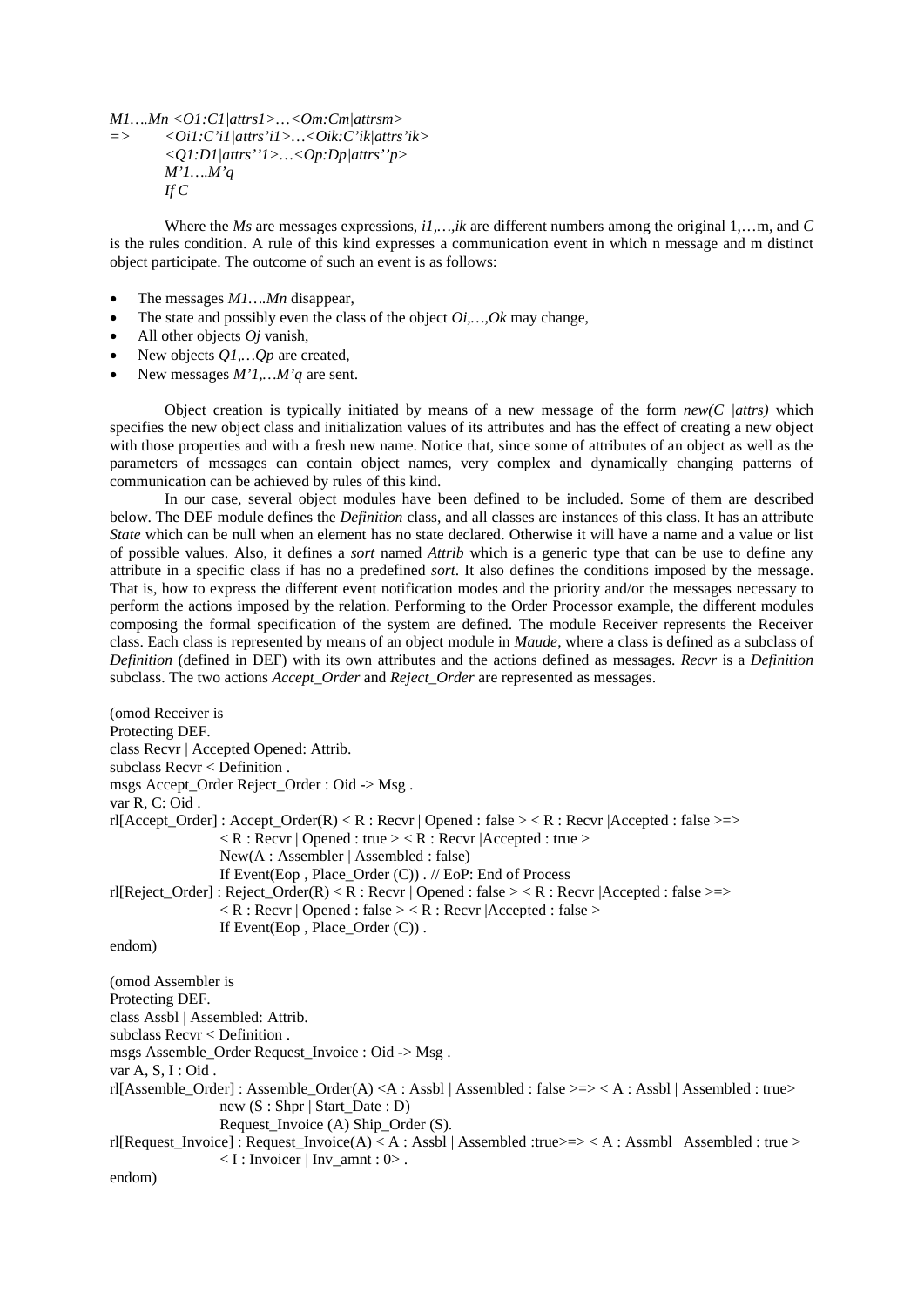*M1….Mn <O1:C1|attrs1>…<Om:Cm|attrsm> => <Oi1:C'i1|attrs'i1>…<Oik:C'ik|attrs'ik>*

```
<Q1:D1|attrs''1>…<Op:Dp|attrs''p>
M'1….M'q
If C
```
Where the *Ms* are messages expressions, *i1,…,ik* are different numbers among the original 1,…m, and *C*  is the rules condition. A rule of this kind expresses a communication event in which n message and m distinct object participate. The outcome of such an event is as follows:

- The messages *M1….Mn* disappear,
- The state and possibly even the class of the object *Oi,…,Ok* may change,
- All other objects *Oj* vanish,
- New objects *Q1,…Qp* are created,
- New messages *M'1,…M'q* are sent.

Object creation is typically initiated by means of a new message of the form  $new(C|datts)$  which specifies the new object class and initialization values of its attributes and has the effect of creating a new object with those properties and with a fresh new name. Notice that, since some of attributes of an object as well as the parameters of messages can contain object names, very complex and dynamically changing patterns of communication can be achieved by rules of this kind.

In our case, several object modules have been defined to be included. Some of them are described below. The DEF module defines the *Definition* class, and all classes are instances of this class. It has an attribute *State* which can be null when an element has no state declared. Otherwise it will have a name and a value or list of possible values. Also, it defines a *sort* named *Attrib* which is a generic type that can be use to define any attribute in a specific class if has no a predefined *sort*. It also defines the conditions imposed by the message. That is, how to express the different event notification modes and the priority and/or the messages necessary to perform the actions imposed by the relation. Performing to the Order Processor example, the different modules composing the formal specification of the system are defined. The module Receiver represents the Receiver class. Each class is represented by means of an object module in *Maude*, where a class is defined as a subclass of *Definition* (defined in DEF) with its own attributes and the actions defined as messages. *Recvr* is a *Definition* subclass. The two actions *Accept\_Order* and *Reject\_Order* are represented as messages.

```
(omod Receiver is
Protecting DEF.
class Recvr | Accepted Opened: Attrib.
subclass Recvr < Definition .
msgs Accept Order Reject Order : Oid -> Msg.
var R, C: Oid .
r1[Accept\_Order]: Accept_Order(R) < R : Recvr | Opened : false > < R : Recvr | Accepted : false >=>
                  R: Recvr | Opened : true > < R : Recvr | Accepted : true >
                  New(A : Assembler | Assembled : false)
                  If Event(Eop , Place_Order (C)) . // EoP: End of Process
rl[Reject_Order] : Reject_Order(R) < R : Recvr | Opened : false > < R : Recvr |Accepted : false >=>
                  \langle R : \text{Re} \text{cvr} | \text{Opened} : \text{false} \rangle \langle R : \text{Re} \text{cvr} | \text{Accepted} : \text{false} \rangleIf Event(Eop. Place Order (C)).
endom)
(omod Assembler is
Protecting DEF.
class Assbl | Assembled: Attrib.
subclass Recvr < Definition .
msgs Assemble_Order Request_Invoice : Oid -> Msg .
var A, S, I : Oid.
rl[Assemble_Order] : Assemble_Order(A) <A : Assbl | Assembled : false >=> < A : Assbl | Assembled : true> 
                  new (S : Shpr | Start_Date : D)
                  Request_Invoice (A) Ship_Order (S).
rl[Request_Invoice] : Request_Invoice(A) < A : Assbl | Assembled :true>=> < A : Assmbl | Assembled : true >
                  \langle I : Invoicer | Inv\_amnt : 0 \rangle.
endom)
```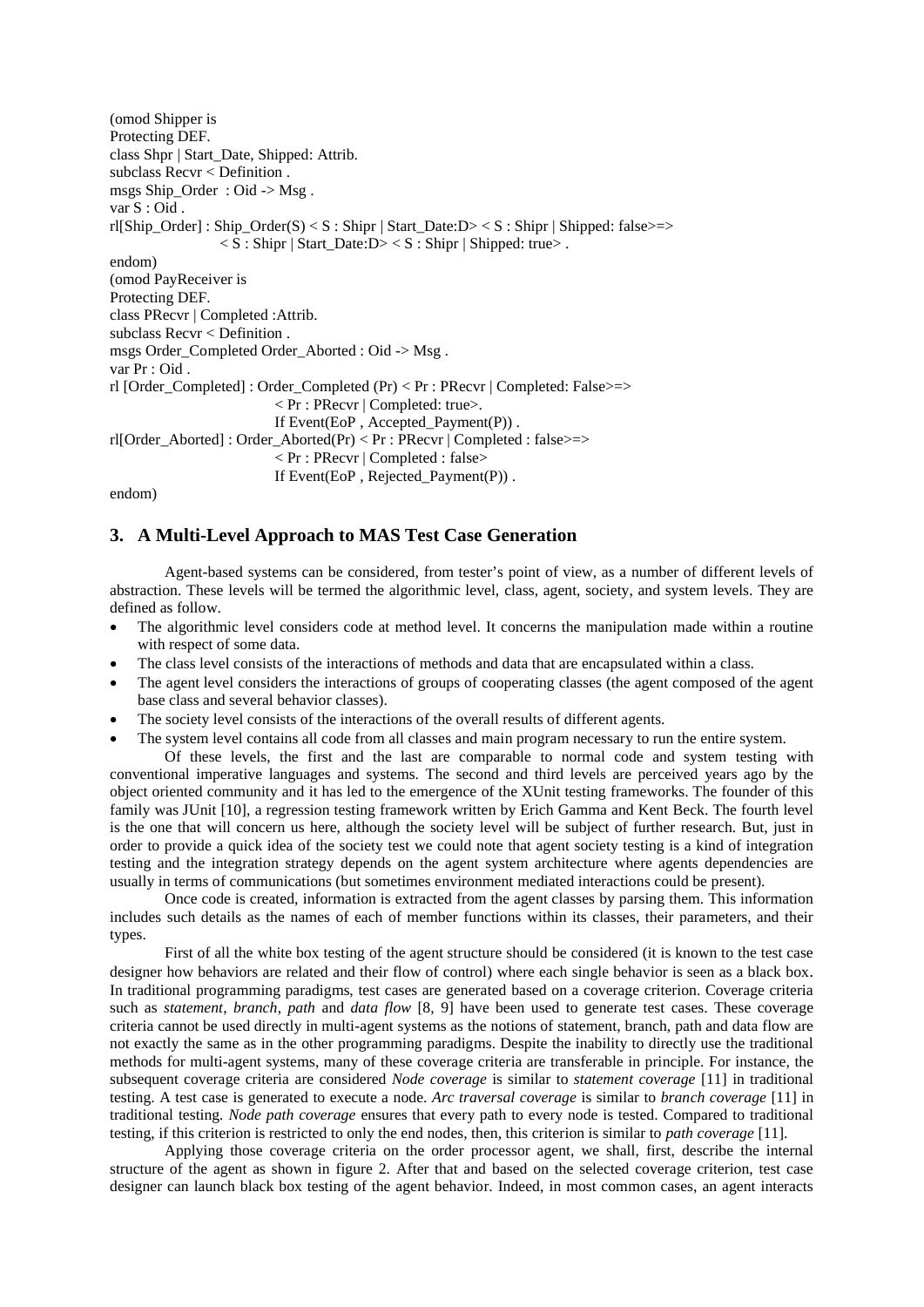(omod Shipper is Protecting DEF. class Shpr | Start\_Date, Shipped: Attrib. subclass Recvr < Definition . msgs Ship\_Order : Oid -> Msg . var S : Oid . rl[Ship\_Order] : Ship\_Order(S) < S : Shipr | Start\_Date:D> < S : Shipr | Shipped: false>=>  $\langle S : Shipr | Start Date: D\rangle \langle S : Shipr | Shipped: true\rangle$ . endom) (omod PayReceiver is Protecting DEF. class PRecvr | Completed :Attrib. subclass Recvr < Definition . msgs Order\_Completed Order\_Aborted : Oid -> Msg. var Pr : Oid . rl [Order\_Completed] : Order\_Completed (Pr) < Pr : PRecvr | Completed: False>=> < Pr : PRecvr | Completed: true>. If Event(EoP , Accepted\_Payment(P)) . rl[Order\_Aborted] : Order\_Aborted(Pr) < Pr : PRecvr | Completed : false>=> < Pr : PRecvr | Completed : false> If Event(EoP , Rejected\_Payment(P)) .

endom)

# **3. A Multi-Level Approach to MAS Test Case Generation**

Agent-based systems can be considered, from tester's point of view, as a number of different levels of abstraction. These levels will be termed the algorithmic level, class, agent, society, and system levels. They are defined as follow.

- The algorithmic level considers code at method level. It concerns the manipulation made within a routine with respect of some data.
- The class level consists of the interactions of methods and data that are encapsulated within a class.
- The agent level considers the interactions of groups of cooperating classes (the agent composed of the agent base class and several behavior classes).
- The society level consists of the interactions of the overall results of different agents.
- The system level contains all code from all classes and main program necessary to run the entire system.

Of these levels, the first and the last are comparable to normal code and system testing with conventional imperative languages and systems. The second and third levels are perceived years ago by the object oriented community and it has led to the emergence of the XUnit testing frameworks. The founder of this family was JUnit [10], a regression testing framework written by Erich Gamma and Kent Beck. The fourth level is the one that will concern us here, although the society level will be subject of further research. But, just in order to provide a quick idea of the society test we could note that agent society testing is a kind of integration testing and the integration strategy depends on the agent system architecture where agents dependencies are usually in terms of communications (but sometimes environment mediated interactions could be present).

Once code is created, information is extracted from the agent classes by parsing them. This information includes such details as the names of each of member functions within its classes, their parameters, and their types.

First of all the white box testing of the agent structure should be considered (it is known to the test case designer how behaviors are related and their flow of control) where each single behavior is seen as a black box. In traditional programming paradigms, test cases are generated based on a coverage criterion. Coverage criteria such as *statement*, *branch*, *path* and *data flow* [8, 9] have been used to generate test cases. These coverage criteria cannot be used directly in multi-agent systems as the notions of statement, branch, path and data flow are not exactly the same as in the other programming paradigms. Despite the inability to directly use the traditional methods for multi-agent systems, many of these coverage criteria are transferable in principle. For instance, the subsequent coverage criteria are considered *Node coverage* is similar to *statement coverage* [11] in traditional testing. A test case is generated to execute a node. *Arc traversal coverage* is similar to *branch coverage* [11] in traditional testing*. Node path coverage* ensures that every path to every node is tested. Compared to traditional testing, if this criterion is restricted to only the end nodes, then, this criterion is similar to *path coverage* [11].

Applying those coverage criteria on the order processor agent, we shall, first, describe the internal structure of the agent as shown in figure 2. After that and based on the selected coverage criterion, test case designer can launch black box testing of the agent behavior. Indeed, in most common cases, an agent interacts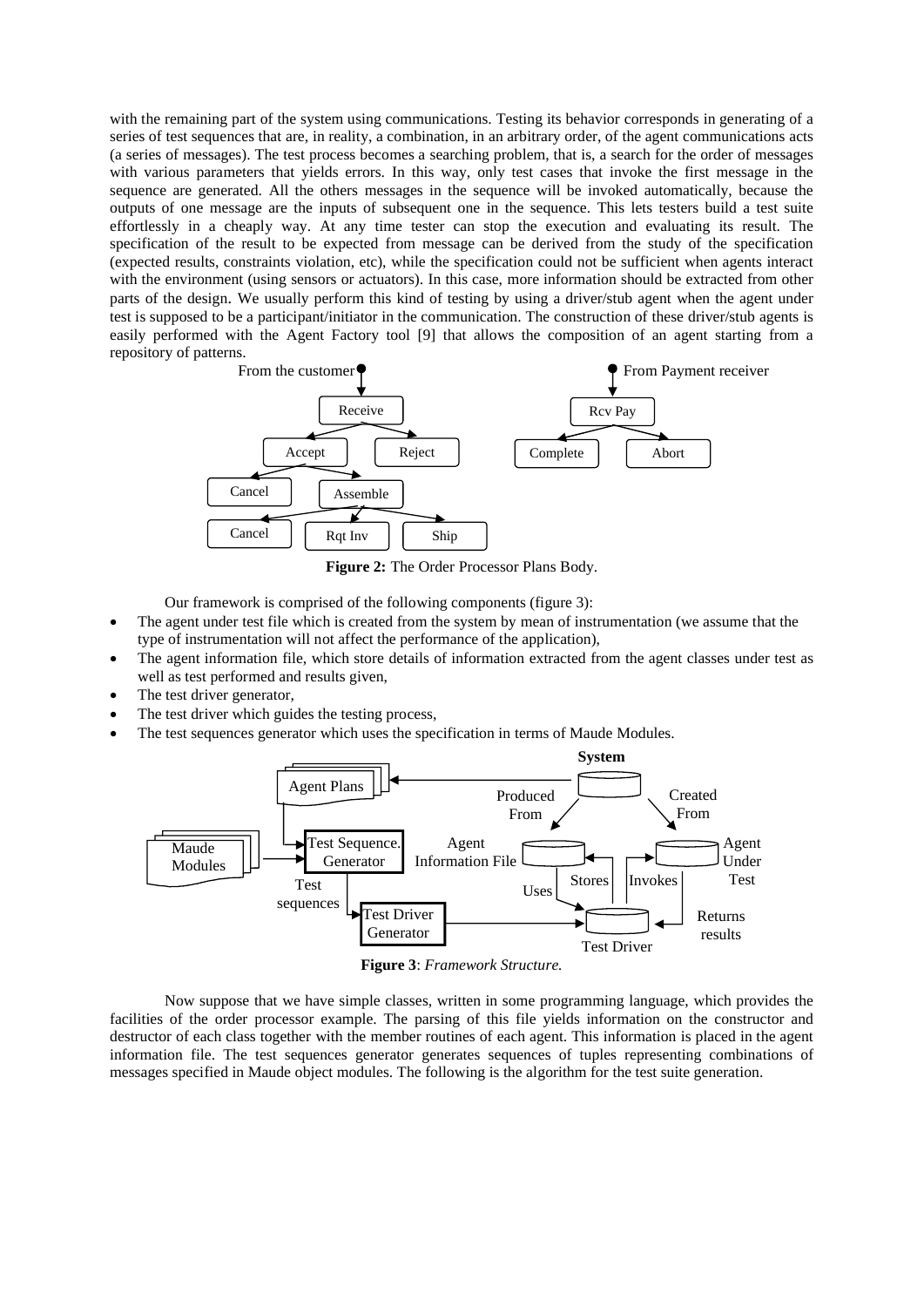with the remaining part of the system using communications. Testing its behavior corresponds in generating of a series of test sequences that are, in reality, a combination, in an arbitrary order, of the agent communications acts (a series of messages). The test process becomes a searching problem, that is, a search for the order of messages with various parameters that yields errors. In this way, only test cases that invoke the first message in the sequence are generated. All the others messages in the sequence will be invoked automatically, because the outputs of one message are the inputs of subsequent one in the sequence. This lets testers build a test suite effortlessly in a cheaply way. At any time tester can stop the execution and evaluating its result. The specification of the result to be expected from message can be derived from the study of the specification (expected results, constraints violation, etc), while the specification could not be sufficient when agents interact with the environment (using sensors or actuators). In this case, more information should be extracted from other parts of the design. We usually perform this kind of testing by using a driver/stub agent when the agent under test is supposed to be a participant/initiator in the communication. The construction of these driver/stub agents is easily performed with the Agent Factory tool [9] that allows the composition of an agent starting from a repository of patterns.



**Figure 2:** The Order Processor Plans Body.

Our framework is comprised of the following components (figure 3):

- The agent under test file which is created from the system by mean of instrumentation (we assume that the type of instrumentation will not affect the performance of the application),
- The agent information file, which store details of information extracted from the agent classes under test as well as test performed and results given,
- The test driver generator,
- The test driver which guides the testing process,
- The test sequences generator which uses the specification in terms of Maude Modules.



**Figure 3**: *Framework Structure.*

Now suppose that we have simple classes, written in some programming language, which provides the facilities of the order processor example. The parsing of this file yields information on the constructor and destructor of each class together with the member routines of each agent. This information is placed in the agent information file. The test sequences generator generates sequences of tuples representing combinations of messages specified in Maude object modules. The following is the algorithm for the test suite generation.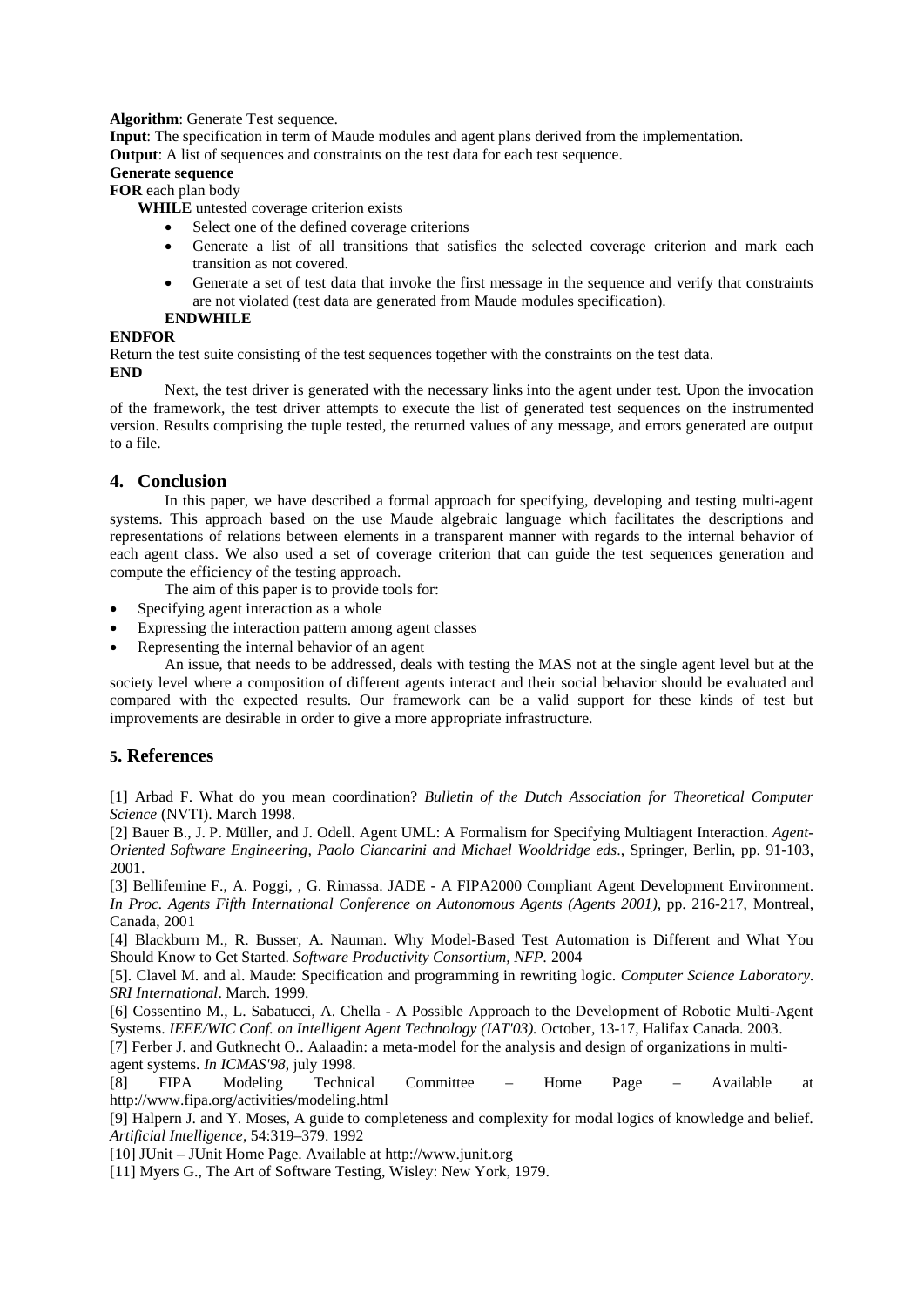#### **Algorithm:** Generate Test sequence.

**Input**: The specification in term of Maude modules and agent plans derived from the implementation. **Output**: A list of sequences and constraints on the test data for each test sequence.

# **Generate sequence**

**FOR** each plan body

**WHILE** untested coverage criterion exists

- Select one of the defined coverage criterions
- Generate a list of all transitions that satisfies the selected coverage criterion and mark each transition as not covered.
- Generate a set of test data that invoke the first message in the sequence and verify that constraints are not violated (test data are generated from Maude modules specification).

#### **ENDWHILE**

## **ENDFOR**

Return the test suite consisting of the test sequences together with the constraints on the test data. **END**

Next, the test driver is generated with the necessary links into the agent under test. Upon the invocation of the framework, the test driver attempts to execute the list of generated test sequences on the instrumented version. Results comprising the tuple tested, the returned values of any message, and errors generated are output to a file.

## **4. Conclusion**

In this paper, we have described a formal approach for specifying, developing and testing multi-agent systems. This approach based on the use Maude algebraic language which facilitates the descriptions and representations of relations between elements in a transparent manner with regards to the internal behavior of each agent class. We also used a set of coverage criterion that can guide the test sequences generation and compute the efficiency of the testing approach.

The aim of this paper is to provide tools for:

- Specifying agent interaction as a whole
- Expressing the interaction pattern among agent classes
- Representing the internal behavior of an agent

An issue, that needs to be addressed, deals with testing the MAS not at the single agent level but at the society level where a composition of different agents interact and their social behavior should be evaluated and compared with the expected results. Our framework can be a valid support for these kinds of test but improvements are desirable in order to give a more appropriate infrastructure.

### **5. References**

[1] Arbad F. What do you mean coordination? *Bulletin of the Dutch Association for Theoretical Computer Science* (NVTI). March 1998.

[2] Bauer B., J. P. Müller, and J. Odell. Agent UML: A Formalism for Specifying Multiagent Interaction. *Agent-Oriented Software Engineering, Paolo Ciancarini and Michael Wooldridge eds*., Springer, Berlin, pp. 91-103, 2001.

[3] Bellifemine F., A. Poggi, , G. Rimassa. JADE - A FIPA2000 Compliant Agent Development Environment. *In Proc. Agents Fifth International Conference on Autonomous Agents (Agents 2001),* pp. 216-217, Montreal, Canada, 2001

[4] Blackburn M., R. Busser, A. Nauman. Why Model-Based Test Automation is Different and What You Should Know to Get Started. *Software Productivity Consortium, NFP.* 2004

[5]. Clavel M. and al. Maude: Specification and programming in rewriting logic. *Computer Science Laboratory. SRI International*. March. 1999.

[6] Cossentino M., L. Sabatucci, A. Chella - A Possible Approach to the Development of Robotic Multi-Agent Systems. *IEEE/WIC Conf. on Intelligent Agent Technology (IAT'03).* October, 13-17, Halifax Canada. 2003.

[7] Ferber J. and Gutknecht O.. Aalaadin: a meta-model for the analysis and design of organizations in multiagent systems. *In ICMAS'98*, july 1998.

[8] FIPA Modeling Technical Committee – Home Page – Available at http://www.fipa.org/activities/modeling.html

[9] Halpern J. and Y. Moses, A guide to completeness and complexity for modal logics of knowledge and belief*. Artificial Intelligence*, 54:319–379. 1992

[10] JUnit – JUnit Home Page. Available at http://www.junit.org

[11] Myers G., The Art of Software Testing, Wisley: New York, 1979.